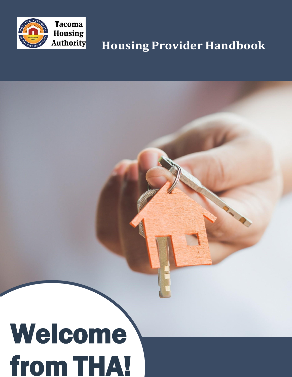

# **Housing Provider Handbook**

# Welcome from THA!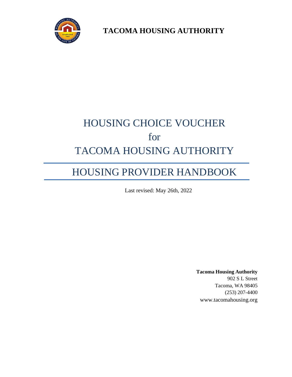

**TACOMA HOUSING AUTHORITY**

# HOUSING CHOICE VOUCHER for TACOMA HOUSING AUTHORITY

## HOUSING PROVIDER HANDBOOK

Last revised: May 26th, 2022

**Tacoma Housing Authority** 902 S L Street Tacoma, WA 98405 (253) 207-4400 [www.tacomahousing.org](http://www.tacomahousing.org/)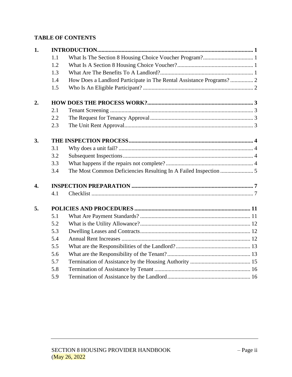#### **TABLE OF CONTENTS**

| 1.               |     |  |  |  |  |  |  |  |  |
|------------------|-----|--|--|--|--|--|--|--|--|
|                  | 1.1 |  |  |  |  |  |  |  |  |
|                  | 1.2 |  |  |  |  |  |  |  |  |
|                  | 1.3 |  |  |  |  |  |  |  |  |
|                  | 1.4 |  |  |  |  |  |  |  |  |
|                  | 1.5 |  |  |  |  |  |  |  |  |
| 2.               |     |  |  |  |  |  |  |  |  |
|                  | 2.1 |  |  |  |  |  |  |  |  |
|                  | 2.2 |  |  |  |  |  |  |  |  |
|                  | 2.3 |  |  |  |  |  |  |  |  |
| 3.               |     |  |  |  |  |  |  |  |  |
|                  | 3.1 |  |  |  |  |  |  |  |  |
|                  | 3.2 |  |  |  |  |  |  |  |  |
|                  | 3.3 |  |  |  |  |  |  |  |  |
|                  | 3.4 |  |  |  |  |  |  |  |  |
| $\overline{4}$ . |     |  |  |  |  |  |  |  |  |
|                  | 4.1 |  |  |  |  |  |  |  |  |
| 5.               |     |  |  |  |  |  |  |  |  |
|                  | 5.1 |  |  |  |  |  |  |  |  |
|                  | 5.2 |  |  |  |  |  |  |  |  |
|                  | 5.3 |  |  |  |  |  |  |  |  |
|                  | 5.4 |  |  |  |  |  |  |  |  |
|                  | 5.5 |  |  |  |  |  |  |  |  |
|                  | 5.6 |  |  |  |  |  |  |  |  |
|                  | 5.7 |  |  |  |  |  |  |  |  |
|                  | 5.8 |  |  |  |  |  |  |  |  |
|                  | 5.9 |  |  |  |  |  |  |  |  |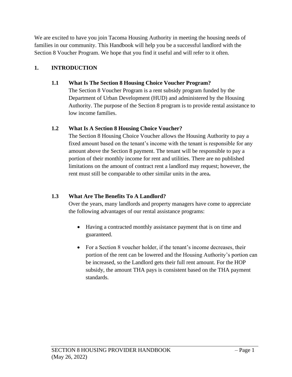We are excited to have you join Tacoma Housing Authority in meeting the housing needs of families in our community. This Handbook will help you be a successful landlord with the Section 8 Voucher Program. We hope that you find it useful and will refer to it often.

#### <span id="page-4-1"></span><span id="page-4-0"></span>**1. INTRODUCTION**

#### **1.1 What Is The Section 8 Housing Choice Voucher Program?**

The Section 8 Voucher Program is a rent subsidy program funded by the Department of Urban Development (HUD) and administered by the Housing Authority. The purpose of the Section 8 program is to provide rental assistance to low income families.

#### **1.2 What Is A Section 8 Housing Choice Voucher?**

<span id="page-4-2"></span>The Section 8 Housing Choice Voucher allows the Housing Authority to pay a fixed amount based on the tenant's income with the tenant is responsible for any amount above the Section 8 payment. The tenant will be responsible to pay a portion of their monthly income for rent and utilities. There are no published limitations on the amount of contract rent a landlord may request; however, the rent must still be comparable to other similar units in the area**.**

#### <span id="page-4-3"></span>**1.3 What Are The Benefits To A Landlord?**

Over the years, many landlords and property managers have come to appreciate the following advantages of our rental assistance programs:

- Having a contracted monthly assistance payment that is on time and guaranteed.
- For a Section 8 voucher holder, if the tenant's income decreases, their portion of the rent can be lowered and the Housing Authority's portion can be increased, so the Landlord gets their full rent amount. For the HOP subsidy, the amount THA pays is consistent based on the THA payment standards.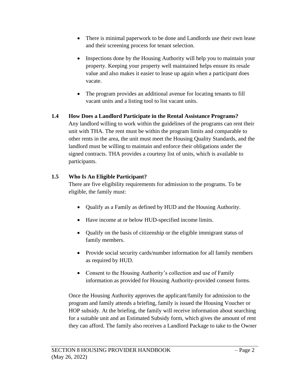- There is minimal paperwork to be done and Landlords use their own lease and their screening process for tenant selection.
- Inspections done by the Housing Authority will help you to maintain your property. Keeping your property well maintained helps ensure its resale value and also makes it easier to lease up again when a participant does vacate.
- The program provides an additional avenue for locating tenants to fill vacant units and a listing tool to list vacant units.

#### <span id="page-5-0"></span>**1.4 How Does a Landlord Participate in the Rental Assistance Programs?**

Any landlord willing to work within the guidelines of the programs can rent their unit with THA. The rent must be within the program limits and comparable to other rents in the area, the unit must meet the Housing Quality Standards, and the landlord must be willing to maintain and enforce their obligations under the signed contracts. THA provides a courtesy list of units, which is available to participants.

#### <span id="page-5-1"></span>**1.5 Who Is An Eligible Participant?**

There are five eligibility requirements for admission to the programs. To be eligible, the family must:

- Qualify as a Family as defined by HUD and the Housing Authority.
- Have income at or below HUD-specified income limits.
- Qualify on the basis of citizenship or the eligible immigrant status of family members.
- Provide social security cards/number information for all family members as required by HUD.
- Consent to the Housing Authority's collection and use of Family information as provided for Housing Authority-provided consent forms.

Once the Housing Authority approves the applicant/family for admission to the program and family attends a briefing, family is issued the Housing Voucher or HOP subsidy. At the briefing, the family will receive information about searching for a suitable unit and an Estimated Subsidy form, which gives the amount of rent they can afford. The family also receives a Landlord Package to take to the Owner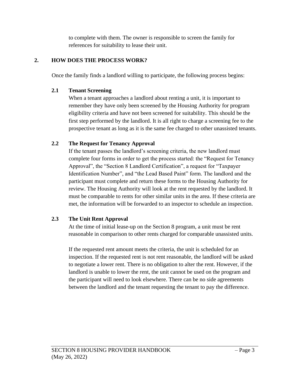to complete with them. The owner is responsible to screen the family for references for suitability to lease their unit.

#### <span id="page-6-1"></span><span id="page-6-0"></span>**2. HOW DOES THE PROCESS WORK?**

Once the family finds a landlord willing to participate, the following process begins:

#### **2.1 Tenant Screening**

When a tenant approaches a landlord about renting a unit, it is important to remember they have only been screened by the Housing Authority for program eligibility criteria and have not been screened for suitability. This should be the first step performed by the landlord. It is all right to charge a screening fee to the prospective tenant as long as it is the same fee charged to other unassisted tenants.

#### <span id="page-6-2"></span>**2.2 The Request for Tenancy Approval**

If the tenant passes the landlord's screening criteria, the new landlord must complete four forms in order to get the process started: the "Request for Tenancy Approval", the "Section 8 Landlord Certification", a request for "Taxpayer Identification Number", and "the Lead Based Paint" form. The landlord and the participant must complete and return these forms to the Housing Authority for review. The Housing Authority will look at the rent requested by the landlord. It must be comparable to rents for other similar units in the area. If these criteria are met, the information will be forwarded to an inspector to schedule an inspection.

#### <span id="page-6-3"></span>**2.3 The Unit Rent Approval**

At the time of initial lease-up on the Section 8 program, a unit must be rent reasonable in comparison to other rents charged for comparable unassisted units.

If the requested rent amount meets the criteria, the unit is scheduled for an inspection. If the requested rent is not rent reasonable, the landlord will be asked to negotiate a lower rent. There is no obligation to alter the rent. However, if the landlord is unable to lower the rent, the unit cannot be used on the program and the participant will need to look elsewhere. There can be no side agreements between the landlord and the tenant requesting the tenant to pay the difference.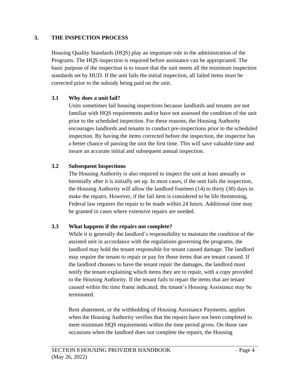#### <span id="page-7-0"></span>**3. THE INSPECTION PROCESS**

Housing Quality Standards (HQS) play an important role in the administration of the Programs. The HQS inspection is required before assistance can be appropriated. The basic purpose of the inspection is to insure that the unit meets all the minimum inspection standards set by HUD. If the unit fails the initial inspection, all failed items must be corrected prior to the subsidy being paid on the unit.

#### <span id="page-7-1"></span>**3.1 Why does a unit fail?**

Units sometimes fail housing inspections because landlords and tenants are not familiar with HQS requirements and/or have not assessed the condition of the unit prior to the scheduled inspection. For these reasons, the Housing Authority encourages landlords and tenants to conduct pre-inspections prior to the scheduled inspection. By having the items corrected before the inspection, the inspector has a better chance of passing the unit the first time. This will save valuable time and insure an accurate initial and subsequent annual inspection.

#### <span id="page-7-2"></span>**3.2 Subsequent Inspections**

The Housing Authority is also required to inspect the unit at least annually or biennially after it is initially set up. In most cases, if the unit fails the inspection, the Housing Authority will allow the landlord fourteen (14) to thirty (30) days to make the repairs. However, if the fail item is considered to be life threatening, Federal law requires the repair to be made within 24 hours. Additional time may be granted in cases where extensive repairs are needed.

#### <span id="page-7-3"></span>**3.3 What happens if the repairs not complete?**

While it is generally the landlord's responsibility to maintain the condition of the assisted unit in accordance with the regulations governing the programs, the landlord may hold the tenant responsible for tenant caused damage. The landlord may require the tenant to repair or pay for those items that are tenant caused. If the landlord chooses to have the tenant repair the damages, the landlord must notify the tenant explaining which items they are to repair, with a copy provided to the Housing Authority. If the tenant fails to repair the items that are tenant caused within the time frame indicated, the tenant's Housing Assistance may be terminated.

Rent abatement, or the withholding of Housing Assistance Payments, applies when the Housing Authority verifies that the repairs have not been completed to meet minimum HQS requirements within the time period given. On those rare occasions when the landlord does not complete the repairs, the Housing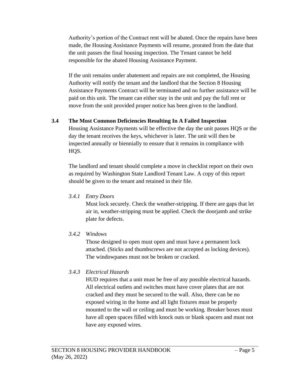Authority's portion of the Contract rent will be abated. Once the repairs have been made, the Housing Assistance Payments will resume, prorated from the date that the unit passes the final housing inspection. The Tenant cannot be held responsible for the abated Housing Assistance Payment.

If the unit remains under abatement and repairs are not completed, the Housing Authority will notify the tenant and the landlord that the Section 8 Housing Assistance Payments Contract will be terminated and no further assistance will be paid on this unit. The tenant can either stay in the unit and pay the full rent or move from the unit provided proper notice has been given to the landlord.

#### <span id="page-8-0"></span>**3.4 The Most Common Deficiencies Resulting In A Failed Inspection**

Housing Assistance Payments will be effective the day the unit passes HQS or the day the tenant receives the keys, whichever is later. The unit will then be inspected annually or biennially to ensure that it remains in compliance with HQS.

The landlord and tenant should complete a move in checklist report on their own as required by Washington State Landlord Tenant Law. A copy of this report should be given to the tenant and retained in their file.

#### *3.4.1 Entry Doors*

Must lock securely. Check the weather-stripping. If there are gaps that let air in, weather-stripping must be applied. Check the doorjamb and strike plate for defects.

#### *3.4.2 Windows*

Those designed to open must open and must have a permanent lock attached. (Sticks and thumbscrews are not accepted as locking devices). The windowpanes must not be broken or cracked.

#### *3.4.3 Electrical Hazards*

HUD requires that a unit must be free of any possible electrical hazards. All electrical outlets and switches must have cover plates that are not cracked and they must be secured to the wall. Also, there can be no exposed wiring in the home and all light fixtures must be properly mounted to the wall or ceiling and must be working. Breaker boxes must have all open spaces filled with knock outs or blank spacers and must not have any exposed wires.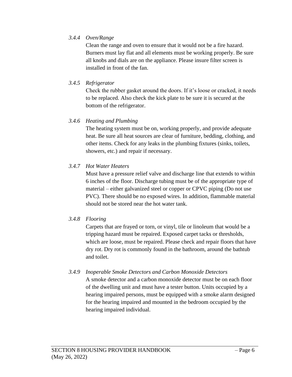#### *3.4.4 Oven/Range*

Clean the range and oven to ensure that it would not be a fire hazard. Burners must lay flat and all elements must be working properly. Be sure all knobs and dials are on the appliance. Please insure filter screen is installed in front of the fan.

#### *3.4.5 Refrigerator*

Check the rubber gasket around the doors. If it's loose or cracked, it needs to be replaced. Also check the kick plate to be sure it is secured at the bottom of the refrigerator.

#### *3.4.6 Heating and Plumbing*

The heating system must be on, working properly, and provide adequate heat. Be sure all heat sources are clear of furniture, bedding, clothing, and other items. Check for any leaks in the plumbing fixtures (sinks, toilets, showers, etc.) and repair if necessary.

#### *3.4.7 Hot Water Heaters*

Must have a pressure relief valve and discharge line that extends to within 6 inches of the floor. Discharge tubing must be of the appropriate type of material – either galvanized steel or copper or CPVC piping (Do not use PVC). There should be no exposed wires. In addition, flammable material should not be stored near the hot water tank.

#### *3.4.8 Flooring*

Carpets that are frayed or torn, or vinyl, tile or linoleum that would be a tripping hazard must be repaired. Exposed carpet tacks or thresholds, which are loose, must be repaired. Please check and repair floors that have dry rot. Dry rot is commonly found in the bathroom, around the bathtub and toilet.

#### *3.4.9 Inoperable Smoke Detectors and Carbon Monoxide Detectors*

A smoke detector and a carbon monoxide detector must be on each floor of the dwelling unit and must have a tester button. Units occupied by a hearing impaired persons, must be equipped with a smoke alarm designed for the hearing impaired and mounted in the bedroom occupied by the hearing impaired individual.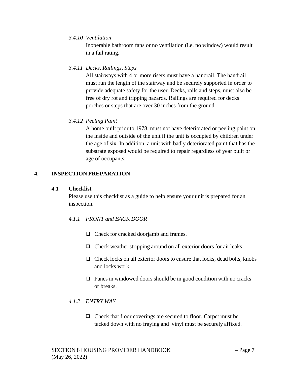#### *3.4.10 Ventilation*

Inoperable bathroom fans or no ventilation (i.e. no window) would result in a fail rating.

#### *3.4.11 Decks, Railings, Steps*

All stairways with 4 or more risers must have a handrail. The handrail must run the length of the stairway and be securely supported in order to provide adequate safety for the user. Decks, rails and steps, must also be free of dry rot and tripping hazards. Railings are required for decks porches or steps that are over 30 inches from the ground.

#### *3.4.12 Peeling Paint*

A home built prior to 1978, must not have deteriorated or peeling paint on the inside and outside of the unit if the unit is occupied by children under the age of six. In addition, a unit with badly deteriorated paint that has the substrate exposed would be required to repair regardless of year built or age of occupants.

#### <span id="page-10-1"></span><span id="page-10-0"></span>**4. INSPECTION PREPARATION**

#### **4.1 Checklist**

Please use this checklist as a guide to help ensure your unit is prepared for an inspection.

#### *4.1.1 FRONT and BACK DOOR*

- ❑ Check for cracked doorjamb and frames.
- ❑ Check weather stripping around on all exterior doors for air leaks.
- ❑ Check locks on all exterior doors to ensure that locks, dead bolts, knobs and locks work.
- ❑ Panes in windowed doors should be in good condition with no cracks or breaks.

#### *4.1.2 ENTRY WAY*

❑ Check that floor coverings are secured to floor. Carpet must be tacked down with no fraying and vinyl must be securely affixed.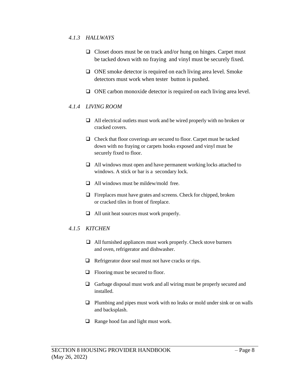#### *4.1.3 HALLWAYS*

- ❑ Closet doors must be on track and/or hung on hinges. Carpet must be tacked down with no fraying and vinyl must be securely fixed.
- ❑ ONE smoke detector is required on each living area level. Smoke detectors must work when tester button is pushed.
- ❑ ONE carbon monoxide detector is required on each living area level.

#### *4.1.4 LIVING ROOM*

- ❑ All electrical outlets must work and be wired properly with no broken or cracked covers.
- ❑ Check that floor coverings are secured to floor. Carpet must be tacked down with no fraying or carpets hooks exposed and vinyl must be securely fixed to floor.
- ❑ All windows must open and have permanent working locks attached to windows. A stick or bar is a secondary lock.
- $\Box$  All windows must be mildew/mold free.
- ❑ Fireplaces must have grates and screens. Check for chipped, broken or cracked tiles in front of fireplace.
- ❑ All unit heat sources must work properly.

#### *4.1.5 KITCHEN*

- ❑ All furnished appliances must work properly. Check stove burners and oven, refrigerator and dishwasher.
- ❑ Refrigerator door seal must not have cracks or rips.
- ❑ Flooring must be secured to floor.
- □ Garbage disposal must work and all wiring must be properly secured and installed.
- ❑ Plumbing and pipes must work with no leaks or mold under sink or on walls and backsplash.
- ❑ Range hood fan and light must work.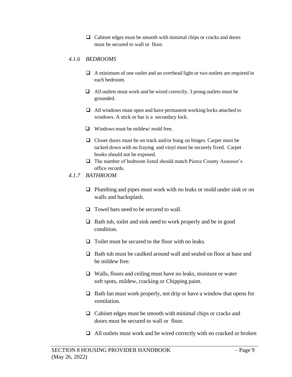$\Box$  Cabinet edges must be smooth with minimal chips or cracks and doors must be secured to wall or floor.

#### *4.1.6 BEDROOMS*

- ❑ A minimum of one outlet and an overhead light or two outlets are required in each bedroom.
- ❑ All outlets must work and be wired correctly. 3 prong outlets must be grounded.
- ❑ All windows must open and have permanent working locks attached to windows. A stick or bar is a secondary lock.
- ❑ Windows must be mildew/ mold free.
- ❑ Closet doors must be on track and/or hung on hinges. Carpet must be tacked down with no fraying and vinyl must be securely fixed. Carpet hooks should not be exposed.
- ❑ The number of bedroom listed should match Pierce County Assessor's office records.
- *4.1.7 BATHROOM*
	- ❑ Plumbing and pipes must work with no leaks or mold under sink or on walls and backsplash.
	- ❑ Towel bars need to be secured to wall.
	- ❑ Bath tub, toilet and sink need to work properly and be in good condition.
	- ❑ Toilet must be secured to the floor with no leaks.
	- ❑ Bath tub must be caulked around wall and sealed on floor at base and be mildew free.
	- ❑ Walls, floors and ceiling must have no leaks, moisture or water soft spots, mildew, cracking or Chipping paint.
	- ❑ Bath fan must work properly, not drip or have a window that opens for ventilation.
	- ❑ Cabinet edges must be smooth with minimal chips or cracks and doors must be secured to wall or floor.
	- ❑ All outlets must work and be wired correctly with no cracked or broken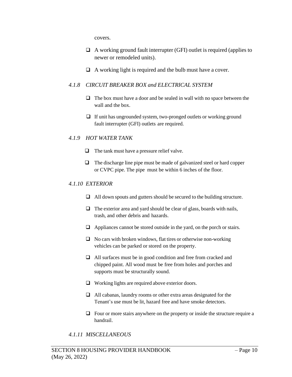covers.

- $\Box$  A working ground fault interrupter (GFI) outlet is required (applies to newer or remodeled units).
- ❑ A working light is required and the bulb must have a cover.

#### *4.1.8 CIRCUIT BREAKER BOX and ELECTRICAL SYSTEM*

- $\Box$  The box must have a door and be sealed in wall with no space between the wall and the box.
- ❑ If unit has ungrounded system, two-pronged outlets or working ground fault interrupter (GFI) outlets are required.

#### *4.1.9 HOT WATER TANK*

- ❑ The tank must have a pressure relief valve.
- $\Box$  The discharge line pipe must be made of galvanized steel or hard copper or CVPC pipe. The pipe must be within 6 inches of the floor.

#### *4.1.10 EXTERIOR*

- ❑ All down spouts and gutters should be secured to the building structure.
- □ The exterior area and yard should be clear of glass, boards with nails, trash, and other debris and hazards.
- ❑ Appliances cannot be stored outside in the yard, on the porch or stairs.
- $\Box$  No cars with broken windows, flat tires or otherwise non-working vehicles can be parked or stored on the property.
- ❑ All surfaces must be in good condition and free from cracked and chipped paint. All wood must be free from holes and porches and supports must be structurally sound.
- ❑ Working lights are required above exterior doors.
- ❑ All cabanas, laundry rooms or other extra areas designated for the Tenant's use must be lit, hazard free and have smoke detectors.
- ❑ Four or more stairs anywhere on the property or inside the structure require a handrail.

#### *4.1.11 MISCELLANEOUS*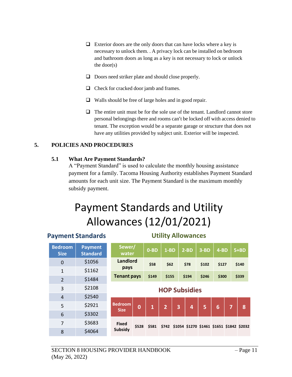- $\Box$  Exterior doors are the only doors that can have locks where a key is necessary to unlock them. . A privacy lock can be installed on bedroom and bathroom doors as long as a key is not necessary to lock or unlock the door(s)
- ❑ Doors need striker plate and should close properly.
- ❑ Check for cracked door jamb and frames.
- ❑ Walls should be free of large holes and in good repair.
- $\Box$  The entire unit must be for the sole use of the tenant. Landlord cannot store personal belongings there and rooms can't be locked off with access denied to tenant. The exception would be a separate garage or structure that does not have any utilities provided by subject unit. Exterior will be inspected.

#### <span id="page-14-1"></span><span id="page-14-0"></span>**5. POLICIES AND PROCEDURES**

#### **5.1 What Are Payment Standards?**

A "Payment Standard" is used to calculate the monthly housing assistance payment for a family. Tacoma Housing Authority establishes Payment Standard amounts for each unit size. The Payment Standard is the maximum monthly subsidy payment.

# Payment Standards and Utility Allowances (12/01/2021)

|                               | <u>ayıncın ətanadı as</u>         |                               |          |              |                |   |                                                 |        |        |                |        |  |
|-------------------------------|-----------------------------------|-------------------------------|----------|--------------|----------------|---|-------------------------------------------------|--------|--------|----------------|--------|--|
| <b>Bedroom</b><br><b>Size</b> | <b>Payment</b><br><b>Standard</b> | Sewer/<br>water               |          | $0 - BD$     | $1-BD$         |   | $2-BD$                                          | $3-BD$ | $4-BD$ |                | $5+BD$ |  |
| $\mathbf 0$                   | \$1056                            | <b>Landlord</b>               |          | \$58         | \$62           |   | \$78                                            | \$102  | \$127  |                | \$140  |  |
| $\mathbf{1}$                  | \$1162                            | pays                          |          |              |                |   |                                                 |        |        |                |        |  |
| $\overline{2}$                | \$1484                            | <b>Tenant pays</b>            |          | \$149        | \$155          |   | \$194                                           | \$246  | \$300  |                | \$339  |  |
| 3                             | \$2108                            | <b>HOP Subsidies</b>          |          |              |                |   |                                                 |        |        |                |        |  |
| $\overline{4}$                | \$2540                            |                               |          |              |                |   |                                                 |        |        |                |        |  |
| 5                             | \$2921                            | <b>Bedroom</b><br><b>Size</b> | $\bf{0}$ | $\mathbf{1}$ | $\overline{2}$ | 3 | 4                                               | 5      | 6      | $\overline{7}$ | 8      |  |
| $6\phantom{1}6$               | \$3302                            |                               |          |              |                |   |                                                 |        |        |                |        |  |
| $\overline{7}$                | \$3683                            | <b>Fixed</b>                  | \$528    | \$581        |                |   | \$742 \$1054 \$1270 \$1461 \$1651 \$1842 \$2032 |        |        |                |        |  |
| 8                             | \$4064                            | Subsidy                       |          |              |                |   |                                                 |        |        |                |        |  |

#### **Payment Standards Utility Allowances**

#### SECTION 8 HOUSING PROVIDER HANDBOOK (May 26, 2022)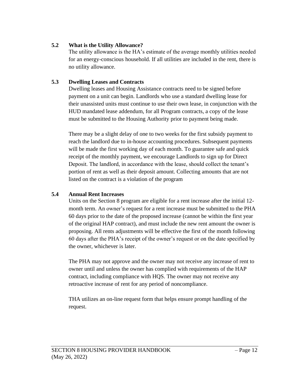#### <span id="page-15-0"></span>**5.2 What is the Utility Allowance?**

The utility allowance is the HA's estimate of the average monthly utilities needed for an energy-conscious household. If all utilities are included in the rent, there is no utility allowance.

#### <span id="page-15-1"></span>**5.3 Dwelling Leases and Contracts**

Dwelling leases and Housing Assistance contracts need to be signed before payment on a unit can begin. Landlords who use a standard dwelling lease for their unassisted units must continue to use their own lease, in conjunction with the HUD mandated lease addendum, for all Program contracts, a copy of the lease must be submitted to the Housing Authority prior to payment being made.

There may be a slight delay of one to two weeks for the first subsidy payment to reach the landlord due to in-house accounting procedures. Subsequent payments will be made the first working day of each month. To guarantee safe and quick receipt of the monthly payment, we encourage Landlords to sign up for Direct Deposit. The landlord, in accordance with the lease, should collect the tenant's portion of rent as well as their deposit amount. Collecting amounts that are not listed on the contract is a violation of the program

#### <span id="page-15-2"></span>**5.4 Annual Rent Increases**

Units on the Section 8 program are eligible for a rent increase after the initial 12 month term. An owner's request for a rent increase must be submitted to the PHA 60 days prior to the date of the proposed increase (cannot be within the first year of the original HAP contract), and must include the new rent amount the owner is proposing. All rents adjustments will be effective the first of the month following 60 days after the PHA's receipt of the owner's request or on the date specified by the owner, whichever is later.

The PHA may not approve and the owner may not receive any increase of rent to owner until and unless the owner has complied with requirements of the HAP contract, including compliance with HQS. The owner may not receive any retroactive increase of rent for any period of noncompliance.

THA utilizes an on-line request form that helps ensure prompt handling of the request.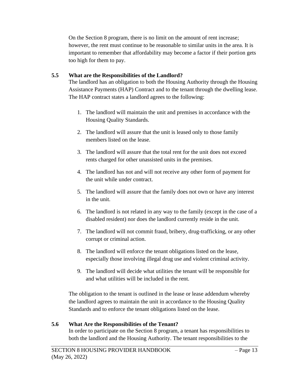On the Section 8 program, there is no limit on the amount of rent increase; however, the rent must continue to be reasonable to similar units in the area. It is important to remember that affordability may become a factor if their portion gets too high for them to pay.

#### <span id="page-16-0"></span>**5.5 What are the Responsibilities of the Landlord?**

The landlord has an obligation to both the Housing Authority through the Housing Assistance Payments (HAP) Contract and to the tenant through the dwelling lease. The HAP contract states a landlord agrees to the following:

- 1. The landlord will maintain the unit and premises in accordance with the Housing Quality Standards.
- 2. The landlord will assure that the unit is leased only to those family members listed on the lease.
- 3. The landlord will assure that the total rent for the unit does not exceed rents charged for other unassisted units in the premises.
- 4. The landlord has not and will not receive any other form of payment for the unit while under contract.
- 5. The landlord will assure that the family does not own or have any interest in the unit.
- 6. The landlord is not related in any way to the family (except in the case of a disabled resident) nor does the landlord currently reside in the unit.
- 7. The landlord will not commit fraud, bribery, drug-trafficking, or any other corrupt or criminal action.
- 8. The landlord will enforce the tenant obligations listed on the lease, especially those involving illegal drug use and violent criminal activity.
- 9. The landlord will decide what utilities the tenant will be responsible for and what utilities will be included in the rent.

The obligation to the tenant is outlined in the lease or lease addendum whereby the landlord agrees to maintain the unit in accordance to the Housing Quality Standards and to enforce the tenant obligations listed on the lease.

#### <span id="page-16-1"></span>**5.6 What Are the Responsibilities of the Tenant?**

In order to participate on the Section 8 program, a tenant has responsibilities to both the landlord and the Housing Authority. The tenant responsibilities to the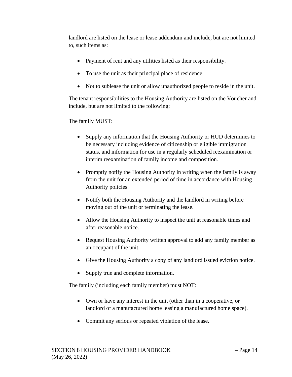landlord are listed on the lease or lease addendum and include, but are not limited to, such items as:

- Payment of rent and any utilities listed as their responsibility.
- To use the unit as their principal place of residence.
- Not to sublease the unit or allow unauthorized people to reside in the unit.

The tenant responsibilities to the Housing Authority are listed on the Voucher and include, but are not limited to the following:

#### The family MUST:

- Supply any information that the Housing Authority or HUD determines to be necessary including evidence of citizenship or eligible immigration status, and information for use in a regularly scheduled reexamination or interim reexamination of family income and composition.
- Promptly notify the Housing Authority in writing when the family is away from the unit for an extended period of time in accordance with Housing Authority policies.
- Notify both the Housing Authority and the landlord in writing before moving out of the unit or terminating the lease.
- Allow the Housing Authority to inspect the unit at reasonable times and after reasonable notice.
- Request Housing Authority written approval to add any family member as an occupant of the unit.
- Give the Housing Authority a copy of any landlord issued eviction notice.
- Supply true and complete information.

#### The family (including each family member) must NOT:

- Own or have any interest in the unit (other than in a cooperative, or landlord of a manufactured home leasing a manufactured home space).
- Commit any serious or repeated violation of the lease.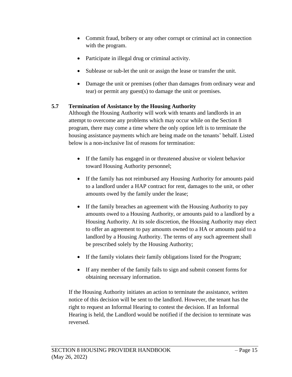- Commit fraud, bribery or any other corrupt or criminal act in connection with the program.
- Participate in illegal drug or criminal activity.
- Sublease or sub-let the unit or assign the lease or transfer the unit.
- Damage the unit or premises (other than damages from ordinary wear and tear) or permit any guest(s) to damage the unit or premises.

#### <span id="page-18-0"></span>**5.7 Termination of Assistance by the Housing Authority**

Although the Housing Authority will work with tenants and landlords in an attempt to overcome any problems which may occur while on the Section 8 program, there may come a time where the only option left is to terminate the housing assistance payments which are being made on the tenants' behalf. Listed below is a non-inclusive list of reasons for termination:

- If the family has engaged in or threatened abusive or violent behavior toward Housing Authority personnel;
- If the family has not reimbursed any Housing Authority for amounts paid to a landlord under a HAP contract for rent, damages to the unit, or other amounts owed by the family under the lease;
- If the family breaches an agreement with the Housing Authority to pay amounts owed to a Housing Authority, or amounts paid to a landlord by a Housing Authority. At its sole discretion, the Housing Authority may elect to offer an agreement to pay amounts owned to a HA or amounts paid to a landlord by a Housing Authority. The terms of any such agreement shall be prescribed solely by the Housing Authority;
- If the family violates their family obligations listed for the Program;
- If any member of the family fails to sign and submit consent forms for obtaining necessary information.

If the Housing Authority initiates an action to terminate the assistance, written notice of this decision will be sent to the landlord. However, the tenant has the right to request an Informal Hearing to contest the decision. If an Informal Hearing is held, the Landlord would be notified if the decision to terminate was reversed.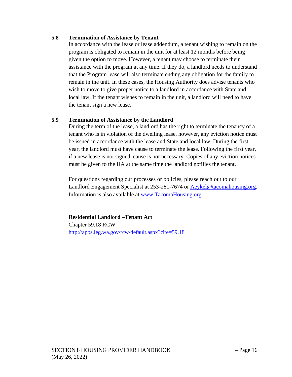#### <span id="page-19-0"></span>**5.8 Termination of Assistance by Tenant**

In accordance with the lease or lease addendum, a tenant wishing to remain on the program is obligated to remain in the unit for at least 12 months before being given the option to move. However, a tenant may choose to terminate their assistance with the program at any time. If they do, a landlord needs to understand that the Program lease will also terminate ending any obligation for the family to remain in the unit. In these cases, the Housing Authority does advise tenants who wish to move to give proper notice to a landlord in accordance with State and local law. If the tenant wishes to remain in the unit, a landlord will need to have the tenant sign a new lease.

#### <span id="page-19-1"></span>**5.9 Termination of Assistance by the Landlord**

During the term of the lease, a landlord has the right to terminate the tenancy of a tenant who is in violation of the dwelling lease, however, any eviction notice must be issued in accordance with the lease and State and local law. During the first year, the landlord must have cause to terminate the lease. Following the first year, if a new lease is not signed, cause is not necessary. Copies of any eviction notices must be given to the HA at the same time the landlord notifies the tenant.

For questions regarding our processes or policies, please reach out to our Landlord Engagement Specialist at 253-281-7674 or [Aeykel@tacomahousing.org.](mailto:Aeykel@tacomahousing.org) Information is also available at [www.TacomaHousing.org.](http://www.tacomahousing.org/)

**Residential Landlord –Tenant Act** Chapter 59.18 RCW <http://apps.leg.wa.gov/rcw/default.aspx?cite=59.18>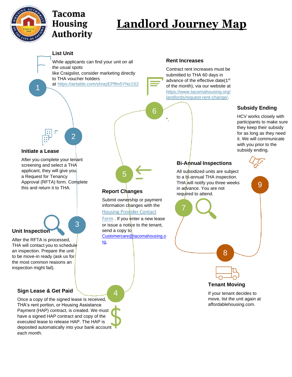

## Tacoma **Housing Authority**

# **Landlord Journey Map**

#### **List Unit**

While applicants can find your unit on all the usual spots like Craigslist, consider marketing directly

to THA voucher holders

2

3

at <https://airtable.com/shrazEPffm5YNz1S2>

#### **Rent Increases**



#### **Subsidy Ending**

HCV works closely with participants to make sure they keep their subsidy for as long as they need it. We will communicate with you prior to the subsidy ending.

9

#### **Initiate a Lease**

1

After you complete your tenant screening and select a THA applicant, they will give you a Request for Tenancy Approval (RFTA) form. Complete this and return it to THA.

## **Unit Inspection**

After the RFTA is processed, THA will contact you to schedule an inspection. Prepare the unit to be move-in ready (ask us for the most common reasons an inspection might fail).

#### **Sign Lease & Get Paid** 4

Once a copy of the signed lease is received, THA's rent portion, or Housing Assistance Payment (HAP) contract, is created. We must have a signed HAP contract and copy of the executed lease to release HAP. The HAP is deposited automatically into your bank account each month.



6

".

#### **Report Changes**

Submit ownership or payment information changes with the [Housing Provider Contact](https://www.tacomahousing.org/resources/landlord-forms/)

[Form](https://www.tacomahousing.org/resources/landlord-forms/) . If you enter a new lease or issue a notice to the tenant, send a copy to [Customercare@tacomahousing.o](mailto:Customercare@tacomahousing.org.) [rg.](mailto:Customercare@tacomahousing.org.)

## **Bi-Annual Inspections**

All subsidized units are subject to a bi-annual THA inspection. THA will notify you three weeks in advance. You are not required to attend.



**Tenant Moving**

If your tenant decides to move, list the unit again at affordablehousing.com.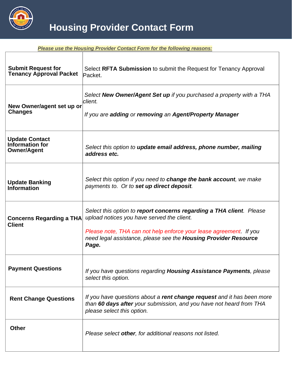

*Please use the Housing Provider Contact Form for the following reasons:* **Submit Request for Tenancy Approval Packet** Select **RFTA Submission** to submit the Request for Tenancy Approval Packet. **New Owner/agent set up or Changes** *Select New Owner/Agent Set up if you purchased a property with a THA client. If you are adding or removing an Agent/Property Manager* **Update Contact Information for**  Select this option to **update email address, phone number, mailing** *address etc.* **Update Banking Information** *Select this option if you need to change the bank account, we make payments to. Or to set up direct deposit.* **Concerns Regarding a THA Client** *Select this option to report concerns regarding a THA client. Please upload notices you have served the client. Please note, THA can not help enforce your lease agreement. If you need legal assistance, please see the Housing Provider Resource Page.*  **Payment Questions** *If you have questions regarding Housing Assistance Payments, please select this option.*  **Rent Change Questions** *If you have questions about a rent change request and it has been more than 60 days after your submission, and you have not heard from THA please select this option.*  **Other**  *Please select other, for additional reasons not listed.*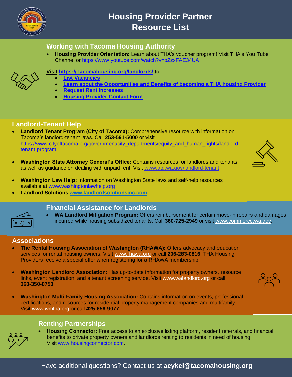

### **Housing Provider Partner Resource List**

#### **Working with Tacoma Housing Authority**

• **Housing Provider Orientation:** Learn about THA's voucher program! Visit THA's You Tube Channel or<https://www.youtube.com/watch?v=bZzxFAE34UA>



#### **Visit [https://Tacomahousing.org/landlords/](https://tacomahousing.org/landlords/) to**

- **[List Vacancies](https://airtable.com/shrazEPffm5YNz1S2)**
	- **[Learn about the Opportunities and Benefits of becoming a THA housing Provider](https://www.tacomahousing.org/landlords/benefits/)**
- **[Request Rent Increases](https://www.tacomahousing.org/landlords/request-rent-change/)**
- **[Housing Provider Contact Form](https://airtable.com/embed/shrAd2cbxDyPsNhSB?backgroundColor=purple)**

#### **Landlord-Tenant Help**

- **Landlord Tenant Program (City of Tacoma):** Comprehensive resource with information on Tacoma's landlord-tenant laws. Call **253-591-5000** or visit [https://www.cityoftacoma.org/government/city\\_departments/equity\\_and\\_human\\_rights/landlord](https://www.cityoftacoma.org/government/city_departments/equity_and_human_rights/landlord-tenant_program)[tenant program.](https://www.cityoftacoma.org/government/city_departments/equity_and_human_rights/landlord-tenant_program)
- **Washington State Attorney General's Office:** Contains resources for landlords and tenants, as well as guidance on dealing with unpaid rent. Visit [www.atg.wa.gov/landlord-tenant.](https://www.atg.wa.gov/landlord-tenant)
- **Washington Law Help:** Information on Washington State laws and self-help resources available at [www.washingtonlawhelp.org](https://www.washingtonlawhelp.org/)
- **Landlord Solutions [www.landlordsolutionsinc.com](http://www.landlordsolutionsinc.com/)**



#### **Financial Assistance for Landlords**

• **WA Landlord Mitigation Program:** Offers reimbursement for certain move-in repairs and damages incurred while housing subsidized tenants. Call **360-725-2949** or visit [www.commerce.wa.gov.](https://www.commerce.wa.gov/)

#### **Associations**

- **The Rental Housing Association of Washington (RHAWA):** Offers advocacy and education services for rental housing owners. Visit [www.rhawa.org](https://www.rhawa.org/) or call **206-283-0816**. THA Housing Providers receive a special offer when registering for a RHAWA membership.
- **Washington Landlord Association:** Has up-to-date information for property owners, resource links, event registration, and a tenant screening service. Visit [www.walandlord.org](https://www.walandlord.org/) or call **360-350-0753**.
- **Washington Multi-Family Housing Association:** Contains information on events, professional certifications, and resources for residential property management companies and multifamily. Visit [www.wmfha.org](https://www.wmfha.org/) or call **425-656-9077**.

#### **Renting Partnerships**

• **Housing Connector:** Free access to an exclusive listing platform, resident referrals, and financial benefits to private property owners and landlords renting to residents in need of housing. Visit [www.housingconnector.com.](https://www.housingconnector.com/)



 $299$